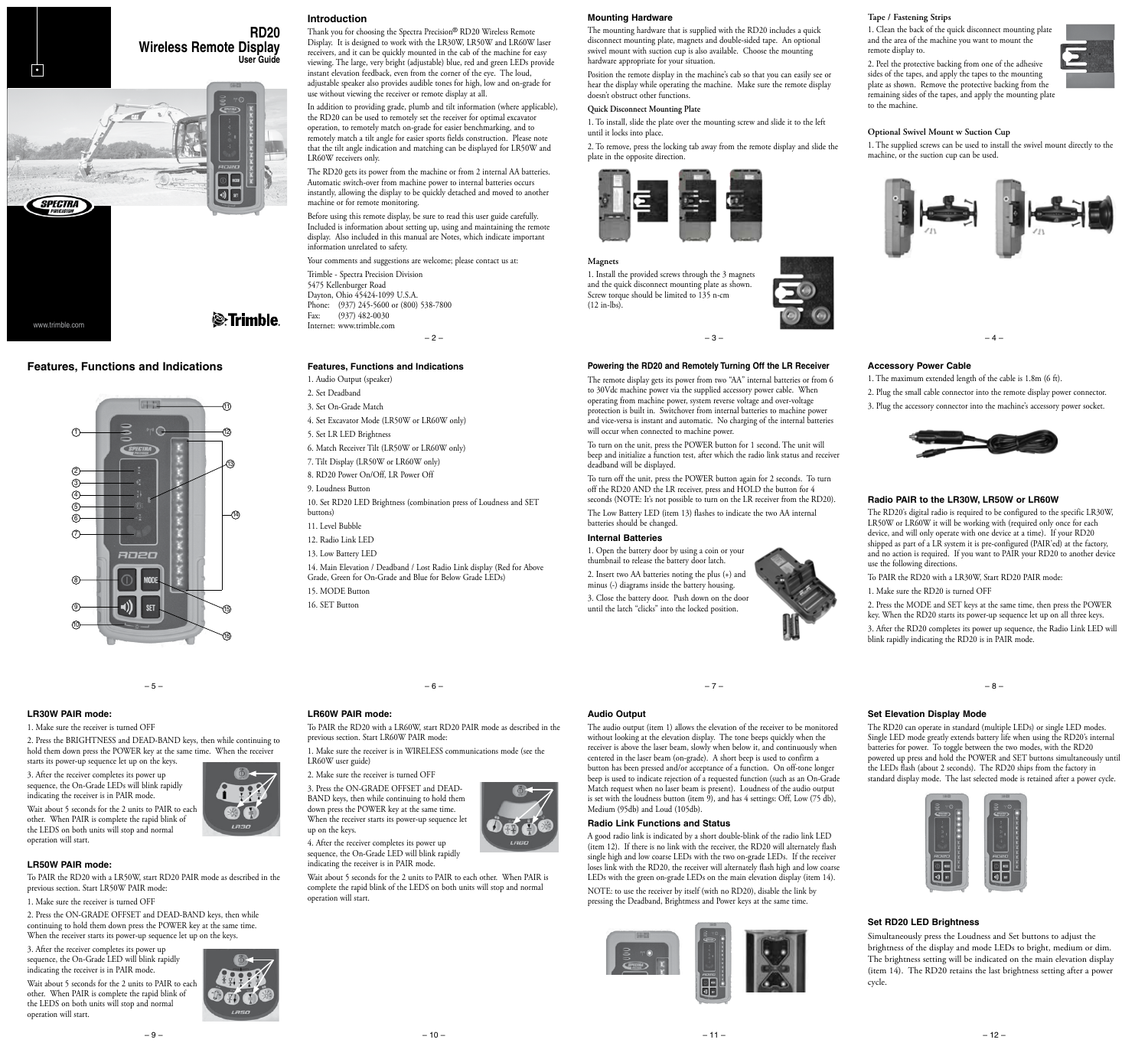# **RD20**

**Wireless Remote Display**

 $\circledcirc$  MODE  $\boxed{\mathbb{Q}}$  or  $\boxed{\mathbb{R}^n}$ 

12

13

 $-$ (14)

15

16

-10

*S*-Trimble

**User Guide**

Thank you for choosing the Spectra Precision® RD20 Wireless Remote Display. It is designed to work with the LR30W, LR50W and LR60W laser receivers, and it can be quickly mounted in the cab of the machine for easy viewing. The large, very bright (adjustable) blue, red and green LEDs provide instant elevation feedback, even from the corner of the eye. The loud, adjustable speaker also provides audible tones for high, low and on-grade for use without viewing the receiver or remote display at all.

In addition to providing grade, plumb and tilt information (where applicable), the RD20 can be used to remotely set the receiver for optimal excavator operation, to remotely match on-grade for easier benchmarking, and to remotely match a tilt angle for easier sports fields construction. Please note that the tilt angle indication and matching can be displayed for LR50W and LR60W receivers only.

The RD20 gets its power from the machine or from 2 internal AA batteries. Automatic switch-over from machine power to internal batteries occurs instantly, allowing the display to be quickly detached and moved to another machine or for remote monitoring.

Before using this remote display, be sure to read this user guide carefully. Included is information about setting up, using and maintaining the remote display. Also included in this manual are Notes, which indicate important information unrelated to safety.

Your comments and suggestions are welcome; please contact us at:

 $-2-$ Trimble - Spectra Precision Division 5475 Kellenburger Road Dayton, Ohio 45424-1099 U.S.A. Phone: (937) 245-5600 or (800) 538-7800 Fax: (937) 482-0030 Internet: www.trimble.com

#### **Features, Functions and Indications**

1. Audio Output (speaker)

- 2. Set Deadband
- 3. Set On-Grade Match
- 4. Set Excavator Mode (LR50W or LR60W only)
- 5. Set LR LED Brightness
- 6. Match Receiver Tilt (LR50W or LR60W only)
- 7. Tilt Display (LR50W or LR60W only) 8. RD20 Power On/Off, LR Power Off
- 9. Loudness Button
- 10. Set RD20 LED Brightness (combination press of Loudness and SET buttons)
- 11. Level Bubble
- 
- 12. Radio Link LED
- 13. Low Battery LED
- 14. Main Elevation / Deadband / Lost Radio Link display (Red for Above Grade, Green for On-Grade and Blue for Below Grade LEDs) 15. MODE Button
- 16. SET Button

– 6 –

#### **LR30W PAIR mode:**

1. Make sure the receiver is turned OFF

2. Press the BRIGHTNESS and DEAD-BAND keys, then while continuing to hold them down press the POWER key at the same time. When the receiver starts its power-up sequence let up on the keys.

 $-5 -$ 

**SET** 

anen

**Features, Functions and Indications**

www.trimble.com

**SPECTRA** 

1

2 3 4 <u>ග</u> <u>@</u>  $(7)$ 

8

9 10

•

3. After the receiver completes its power up sequence, the On-Grade LEDs will blink rapidly indicating the receiver is in PAIR mode.

Wait about 5 seconds for the 2 units to PAIR to each other. When PAIR is complete the rapid blink of the LEDS on both units will stop and normal operation will start.

## **LR50W PAIR mode:**

To PAIR the RD20 with a LR50W, start RD20 PAIR mode as described in the previous section. Start LR50W PAIR mode:

1. Make sure the receiver is turned OFF

2. Press the ON-GRADE OFFSET and DEAD-BAND keys, then while continuing to hold them down press the POWER key at the same time. When the receiver starts its power-up sequence let up on the keys.

– 9 –

3. After the receiver completes its power up sequence, the On-Grade LED will blink rapidly indicating the receiver is in PAIR mode.

Wait about 5 seconds for the 2 units to PAIR to each other. When PAIR is complete the rapid blink of the LEDS on both units will stop and normal operation will start.



#### **Introduction**

## **Mounting Hardware**

The mounting hardware that is supplied with the RD20 includes a quick disconnect mounting plate, magnets and double-sided tape. An optional swivel mount with suction cup is also available. Choose the mounting hardware appropriate for your situation.

Position the remote display in the machine's cab so that you can easily see or hear the display while operating the machine. Make sure the remote display doesn't obstruct other functions.

## **Quick Disconnect Mounting Plate**

1. To install, slide the plate over the mounting screw and slide it to the left until it locks into place.

2. To remove, press the locking tab away from the remote display and slide the plate in the opposite direction.



#### **Magnets**

1. Install the provided screws through the 3 magnets and the quick disconnect mounting plate as shown. Screw torque should be limited to 135 n-cm (12 in-lbs).



#### **Powering the RD20 and Remotely Turning Off the LR Receiver**

The remote display gets its power from two "AA" internal batteries or from 6 to 30Vdc machine power via the supplied accessory power cable. When operating from machine power, system reverse voltage and over-voltage protection is built in. Switchover from internal batteries to machine power and vice-versa is instant and automatic. No charging of the internal batteries will occur when connected to machine power.

To turn on the unit, press the POWER button for 1 second. The unit will beep and initialize a function test, after which the radio link status and receiver deadband will be displayed.

To turn off the unit, press the POWER button again for 2 seconds. To turn off the RD20 AND the LR receiver, press and HOLD the button for 4 seconds (NOTE: It's not possible to turn on the LR receiver from the RD20).

The Low Battery LED (item 13) flashes to indicate the two AA internal batteries should be changed.

#### **Internal Batteries**

1. Open the battery door by using a coin or your thumbnail to release the battery door latch. 2. Insert two AA batteries noting the plus (+) and minus (-) diagrams inside the battery housing. 3. Close the battery door. Push down on the door until the latch "clicks" into the locked position.

– 7 –

#### **Audio Output**

The audio output (item 1) allows the elevation of the receiver to be monitored without looking at the elevation display. The tone beeps quickly when the receiver is above the laser beam, slowly when below it, and continuously when centered in the laser beam (on-grade). A short beep is used to confirm a button has been pressed and/or acceptance of a function. On off-tone longer beep is used to indicate rejection of a requested function (such as an On-Grade Match request when no laser beam is present). Loudness of the audio output is set with the loudness button (item 9), and has 4 settings: Off, Low (75  $\hat{d}b$ ), Medium (95db) and Loud (105db).

#### **Radio Link Functions and Status**

A good radio link is indicated by a short double-blink of the radio link LED (item 12). If there is no link with the receiver, the RD20 will alternately flash single high and low coarse LEDs with the two on-grade LEDs. If the receiver loses link with the RD20, the receiver will alternately flash high and low coarse LEDs with the green on-grade LEDs on the main elevation display (item 14). NOTE: to use the receiver by itself (with no RD20), disable the link by pressing the Deadband, Brightmess and Power keys at the same time.



### **Tape / Fastening Strips**

1. Clean the back of the quick disconnect mounting plate and the area of the machine you want to mount the remote display to.

2. Peel the protective backing from one of the adhesive sides of the tapes, and apply the tapes to the mounting plate as shown. Remove the protective backing from the remaining sides of the tapes, and apply the mounting plate to the machine.



#### **Optional Swivel Mount w Suction Cup**

1. The supplied screws can be used to install the swivel mount directly to the machine, or the suction cup can be used.



#### **Accessory Power Cable**

1. The maximum extended length of the cable is 1.8m (6 ft).

2. Plug the small cable connector into the remote display power connector.

3. Plug the accessory connector into the machine's accessory power socket.



#### **Radio PAIR to the LR30W, LR50W or LR60W**

The RD20's digital radio is required to be configured to the specific LR30W, LR50W or LR60W it will be working with (required only once for each device, and will only operate with one device at a time). If your RD20 shipped as part of a LR system it is pre-configured (PAIR'ed) at the factory, and no action is required. If you want to PAIR your RD20 to another device use the following directions

To PAIR the RD20 with a LR30W, Start RD20 PAIR mode:

1. Make sure the RD20 is turned OFF

2. Press the MODE and SET keys at the same time, then press the POWER key. When the RD20 starts its power-up sequence let up on all three keys. 3. After the RD20 completes its power up sequence, the Radio Link LED will blink rapidly indicating the RD20 is in PAIR mode.

– 8 –

#### **Set Elevation Display Mode**

The RD20 can operate in standard (multiple LEDs) or single LED modes. Single LED mode greatly extends battery life when using the RD20's internal batteries for power. To toggle between the two modes, with the RD20 powered up press and hold the POWER and SET buttons simultaneously until the LEDs flash (about 2 seconds). The RD20 ships from the factory in standard display mode. The last selected mode is retained after a power cycle.



#### **Set RD20 LED Brightness**

Simultaneously press the Loudness and Set buttons to adjust the brightness of the display and mode LEDs to bright, medium or dim. The brightness setting will be indicated on the main elevation display (item 14). The RD20 retains the last brightness setting after a power cycle.





up on the keys.

sequence, the On-Grade LED will blink rapidly indicating the receiver is in PAIR mode.

operation will start.

# **LR60W PAIR mode:**

previous section. Start LR60W PAIR mode: 1. Make sure the receiver is in WIRELESS communications mode (see the

LR60W user guide) 2. Make sure the receiver is turned OFF

3. Press the ON-GRADE OFFSET and DEAD-BAND keys, then while continuing to hold them down press the POWER key at the same time. When the receiver starts its power-up sequence let

4. After the receiver completes its power up

Wait about 5 seconds for the 2 units to PAIR to each other. When PAIR is complete the rapid blink of the LEDS on both units will stop and normal

To PAIR the RD20 with a LR60W, start RD20 PAIR mode as described in the